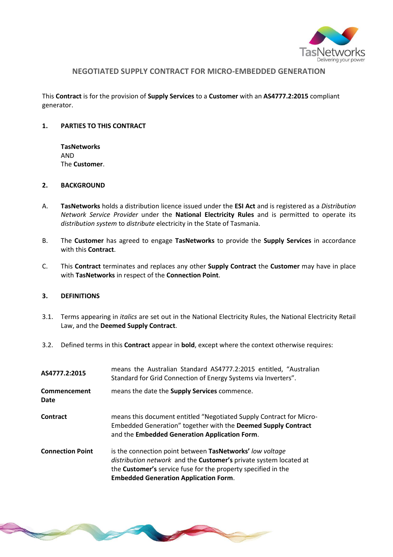

# **NEGOTIATED SUPPLY CONTRACT FOR MICRO-EMBEDDED GENERATION**

This **Contract** is for the provision of **Supply Services** to a **Customer** with an **AS4777.2:2015** compliant generator.

#### **1. PARTIES TO THIS CONTRACT**

**TasNetworks** AND The **Customer**.

## **2. BACKGROUND**

- A. **TasNetworks** holds a distribution licence issued under the **ESI Act** and is registered as a *Distribution Network Service Provider* under the **National Electricity Rules** and is permitted to operate its *distribution system* to *distribute* electricity in the State of Tasmania.
- B. The **Customer** has agreed to engage **TasNetworks** to provide the **Supply Services** in accordance with this **Contract**.
- C. This **Contract** terminates and replaces any other **Supply Contract** the **Customer** may have in place with **TasNetworks** in respect of the **Connection Point**.

#### **3. DEFINITIONS**

- 3.1. Terms appearing in *italics* are set out in the National Electricity Rules, the National Electricity Retail Law, and the **Deemed Supply Contract**.
- 3.2. Defined terms in this **Contract** appear in **bold**, except where the context otherwise requires:

| AS4777.2:2015           | means the Australian Standard AS4777.2:2015 entitled, "Australian<br>Standard for Grid Connection of Energy Systems via Inverters".                                                                                                                   |
|-------------------------|-------------------------------------------------------------------------------------------------------------------------------------------------------------------------------------------------------------------------------------------------------|
| Commencement<br>Date    | means the date the <b>Supply Services</b> commence.                                                                                                                                                                                                   |
| Contract                | means this document entitled "Negotiated Supply Contract for Micro-<br>Embedded Generation" together with the Deemed Supply Contract<br>and the Embedded Generation Application Form.                                                                 |
| <b>Connection Point</b> | is the connection point between TasNetworks' low voltage<br>distribution network and the Customer's private system located at<br>the <b>Customer's</b> service fuse for the property specified in the<br><b>Embedded Generation Application Form.</b> |

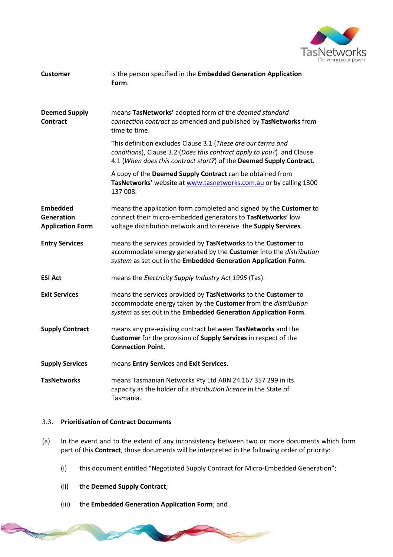

| <b>Customer</b>                                          | is the person specified in the Embedded Generation Application<br>Form.                                                                                                                                      |
|----------------------------------------------------------|--------------------------------------------------------------------------------------------------------------------------------------------------------------------------------------------------------------|
| <b>Deemed Supply</b><br><b>Contract</b>                  | means TasNetworks' adopted form of the deemed standard<br>connection contract as amended and published by TasNetworks from<br>time to time.                                                                  |
|                                                          | This definition excludes Clause 3.1 (These are our terms and<br>conditions), Clause 3.2 (Does this contract apply to you?) and Clause<br>4.1 (When does this contract start?) of the Deemed Supply Contract. |
|                                                          | A copy of the Deemed Supply Contract can be obtained from<br>TasNetworks' website at www.tasnetworks.com.au or by calling 1300<br>137 008.                                                                   |
| <b>Embedded</b><br>Generation<br><b>Application Form</b> | means the application form completed and signed by the Customer to<br>connect their micro-embedded generators to TasNetworks' low<br>voltage distribution network and to receive the Supply Services.        |
| <b>Entry Services</b>                                    | means the services provided by TasNetworks to the Customer to<br>accommodate energy generated by the Customer into the distribution<br>system as set out in the Embedded Generation Application Form.        |
| <b>ESI Act</b>                                           | means the Electricity Supply Industry Act 1995 (Tas).                                                                                                                                                        |
| <b>Exit Services</b>                                     | means the services provided by TasNetworks to the Customer to<br>accommodate energy taken by the Customer from the distribution<br>system as set out in the Embedded Generation Application Form.            |
| <b>Supply Contract</b>                                   | means any pre-existing contract between TasNetworks and the<br>Customer for the provision of Supply Services in respect of the<br><b>Connection Point.</b>                                                   |
| <b>Supply Services</b>                                   | means Entry Services and Exit Services.                                                                                                                                                                      |
| <b>TasNetworks</b>                                       | means Tasmanian Networks Pty Ltd ABN 24 167 357 299 in its<br>capacity as the holder of a distribution licence in the State of<br>Tasmania.                                                                  |

### 3.3. **Prioritisation of Contract Documents**

- (a) In the event and to the extent of any inconsistency between two or more documents which form part of this **Contract**, those documents will be interpreted in the following order of priority:
	- (i) this document entitled "Negotiated Supply Contract for Micro-Embedded Generation";
	- (ii) the **Deemed Supply Contract**;

**College College College College College College College College** 

(iii) the **Embedded Generation Application Form**; and